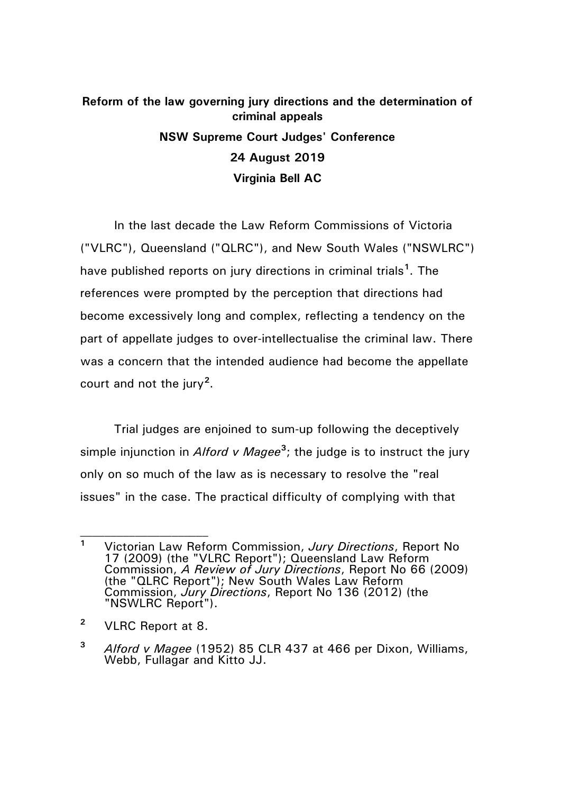## **Reform of the law governing jury directions and the determination of criminal appeals NSW Supreme Court Judges' Conference 24 August 2019 Virginia Bell AC**

In the last decade the Law Reform Commissions of Victoria ("VLRC"), Queensland ("QLRC"), and New South Wales ("NSWLRC") have published reports on jury directions in criminal trials**[1](#page-0-0)** . The references were prompted by the perception that directions had become excessively long and complex, reflecting a tendency on the part of appellate judges to over-intellectualise the criminal law. There was a concern that the intended audience had become the appellate court and not the jury**[2](#page-0-1)** .

Trial judges are enjoined to sum-up following the deceptively simple injunction in *Alford v Magee*<sup>[3](#page-0-2)</sup>; the judge is to instruct the jury only on so much of the law as is necessary to resolve the "real issues" in the case. The practical difficulty of complying with that

<span id="page-0-0"></span>**<sup>1</sup>** Victorian Law Reform Commission, *Jury Directions*, Report No 17 (2009) (the "VLRC Report"); Queensland Law Reform Commission, *A Review of Jury Directions*, Report No 66 (2009) (the "QLRC Report"); New South Wales Law Reform Commission, *Jury Directions*, Report No 136 (2012) (the "NSWLRC Report").

<span id="page-0-1"></span>**<sup>2</sup>** VLRC Report at 8.

<span id="page-0-2"></span>**<sup>3</sup>** *Alford v Magee* (1952) 85 CLR 437 at 466 per Dixon, Williams, Webb, Fullagar and Kitto JJ.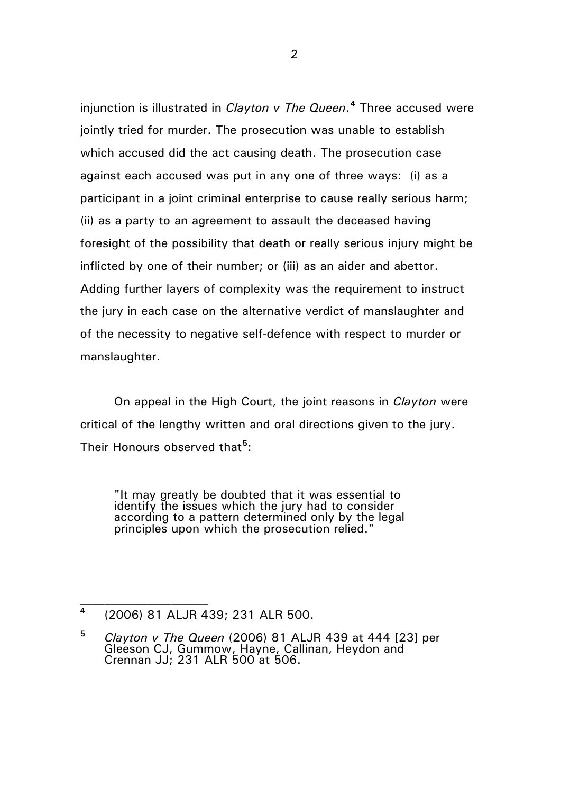injunction is illustrated in *Clayton v The Queen*. **[4](#page-1-0)** Three accused were jointly tried for murder. The prosecution was unable to establish which accused did the act causing death. The prosecution case against each accused was put in any one of three ways: (i) as a participant in a joint criminal enterprise to cause really serious harm; (ii) as a party to an agreement to assault the deceased having foresight of the possibility that death or really serious injury might be inflicted by one of their number; or (iii) as an aider and abettor. Adding further layers of complexity was the requirement to instruct the jury in each case on the alternative verdict of manslaughter and of the necessity to negative self-defence with respect to murder or manslaughter.

On appeal in the High Court, the joint reasons in *Clayton* were critical of the lengthy written and oral directions given to the jury. Their Honours observed that**[5](#page-1-1)** :

"It may greatly be doubted that it was essential to identify the issues which the jury had to consider according to a pattern determined only by the legal principles upon which the prosecution relied."

<span id="page-1-0"></span>**<sup>4</sup>** (2006) 81 ALJR 439; 231 ALR 500.

<span id="page-1-1"></span>**<sup>5</sup>** *Clayton v The Queen* (2006) 81 ALJR 439 at 444 [23] per Gleeson CJ, Gummow, Hayne, Callinan, Heydon and Crennan JJ; 231 ALR 500 at 506.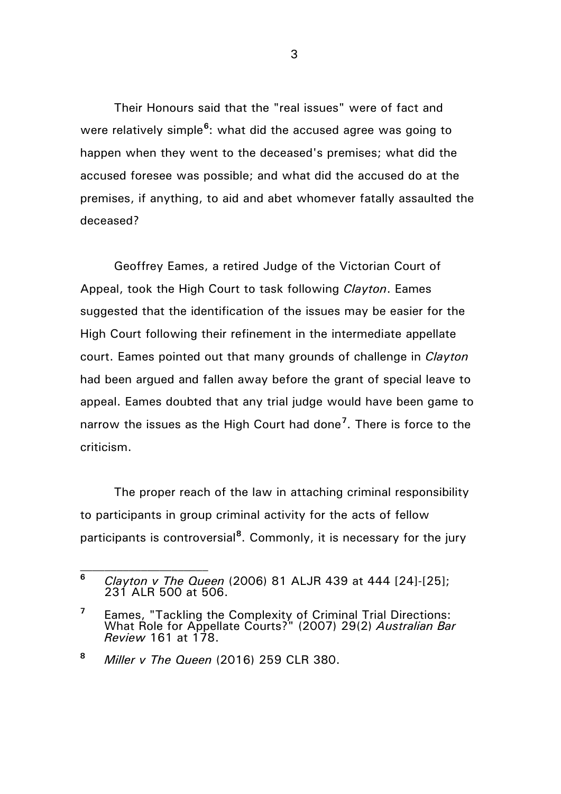Their Honours said that the "real issues" were of fact and were relatively simple<sup>[6](#page-2-0)</sup>: what did the accused agree was going to happen when they went to the deceased's premises; what did the accused foresee was possible; and what did the accused do at the premises, if anything, to aid and abet whomever fatally assaulted the deceased?

Geoffrey Eames, a retired Judge of the Victorian Court of Appeal, took the High Court to task following *Clayton*. Eames suggested that the identification of the issues may be easier for the High Court following their refinement in the intermediate appellate court. Eames pointed out that many grounds of challenge in *Clayton* had been argued and fallen away before the grant of special leave to appeal. Eames doubted that any trial judge would have been game to narrow the issues as the High Court had done**[7](#page-2-1)** . There is force to the criticism.

The proper reach of the law in attaching criminal responsibility to participants in group criminal activity for the acts of fellow participants is controversial**[8](#page-2-2)** . Commonly, it is necessary for the jury

 $\mathcal{L}_\text{max}$ 

<span id="page-2-0"></span>**<sup>6</sup>** *Clayton v The Queen* (2006) 81 ALJR 439 at 444 [24]-[25]; 231 ALR 500 at 506.

<span id="page-2-1"></span>**<sup>7</sup>** Eames, "Tackling the Complexity of Criminal Trial Directions: What Role for Appellate Courts?" (2007) 29(2) *Australian Bar Review* 161 at 178.

<span id="page-2-2"></span>**<sup>8</sup>** *Miller v The Queen* (2016) 259 CLR 380.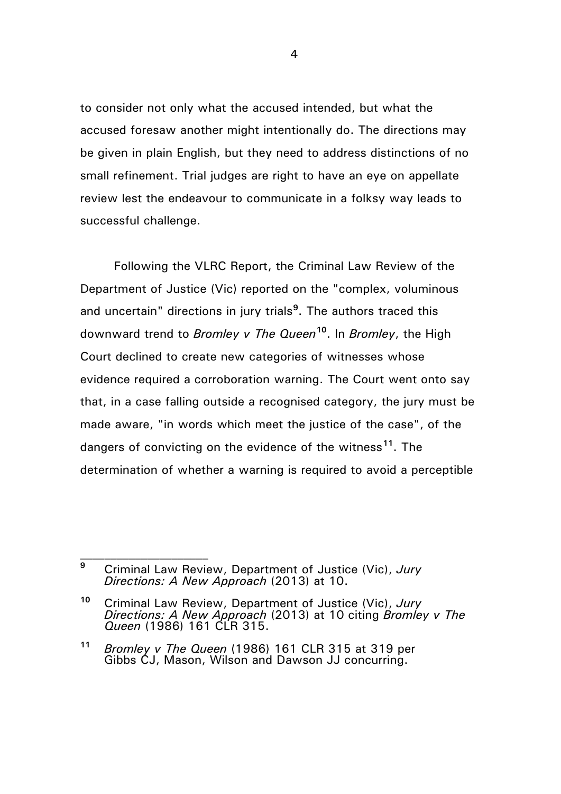to consider not only what the accused intended, but what the accused foresaw another might intentionally do. The directions may be given in plain English, but they need to address distinctions of no small refinement. Trial judges are right to have an eye on appellate review lest the endeavour to communicate in a folksy way leads to successful challenge.

Following the VLRC Report, the Criminal Law Review of the Department of Justice (Vic) reported on the "complex, voluminous and uncertain" directions in jury trials**[9](#page-3-0)** . The authors traced this downward trend to *Bromley v The Queen***[10](#page-3-1)**. In *Bromley*, the High Court declined to create new categories of witnesses whose evidence required a corroboration warning. The Court went onto say that, in a case falling outside a recognised category, the jury must be made aware, "in words which meet the justice of the case", of the dangers of convicting on the evidence of the witness**[11](#page-3-2)**. The determination of whether a warning is required to avoid a perceptible

 $\mathcal{L}_\text{max}$ 

<span id="page-3-0"></span>**<sup>9</sup>** Criminal Law Review, Department of Justice (Vic), *Jury Directions: A New Approach* (2013) at 10.

<span id="page-3-1"></span>**<sup>10</sup>** Criminal Law Review, Department of Justice (Vic), *Jury Directions: A New Approach* (2013) at 10 citing *Bromley v The Queen* (1986) 161 CLR 315.

<span id="page-3-2"></span>**<sup>11</sup>** *Bromley v The Queen* (1986) 161 CLR 315 at 319 per Gibbs CJ, Mason, Wilson and Dawson JJ concurring.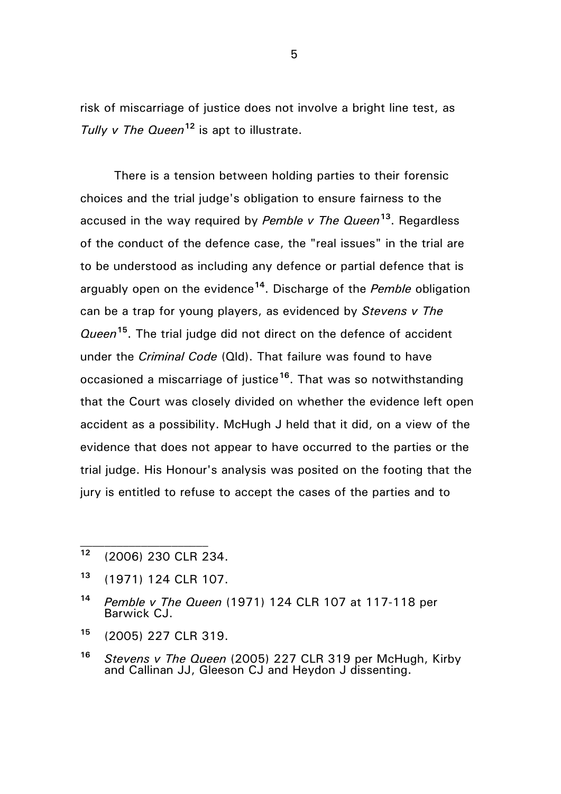risk of miscarriage of justice does not involve a bright line test, as *Tully v The Queen***[12](#page-4-0)** is apt to illustrate.

There is a tension between holding parties to their forensic choices and the trial judge's obligation to ensure fairness to the accused in the way required by *Pemble v The Queen***[13](#page-4-1)**. Regardless of the conduct of the defence case, the "real issues" in the trial are to be understood as including any defence or partial defence that is arguably open on the evidence**[14](#page-4-2)**. Discharge of the *Pemble* obligation can be a trap for young players, as evidenced by *Stevens v The Queen***[15](#page-4-3)**. The trial judge did not direct on the defence of accident under the *Criminal Code* (Qld). That failure was found to have occasioned a miscarriage of justice**[16](#page-4-4)**. That was so notwithstanding that the Court was closely divided on whether the evidence left open accident as a possibility. McHugh J held that it did, on a view of the evidence that does not appear to have occurred to the parties or the trial judge. His Honour's analysis was posited on the footing that the jury is entitled to refuse to accept the cases of the parties and to

<span id="page-4-0"></span>**<sup>12</sup>** (2006) 230 CLR 234.

- <span id="page-4-1"></span>**<sup>13</sup>** (1971) 124 CLR 107.
- <span id="page-4-2"></span>**<sup>14</sup>** *Pemble v The Queen* (1971) 124 CLR 107 at 117-118 per Barwick CJ.
- <span id="page-4-3"></span>**<sup>15</sup>** (2005) 227 CLR 319.
- <span id="page-4-4"></span>**<sup>16</sup>** *Stevens v The Queen* (2005) 227 CLR 319 per McHugh, Kirby and Callinan JJ, Gleeson CJ and Heydon J dissenting.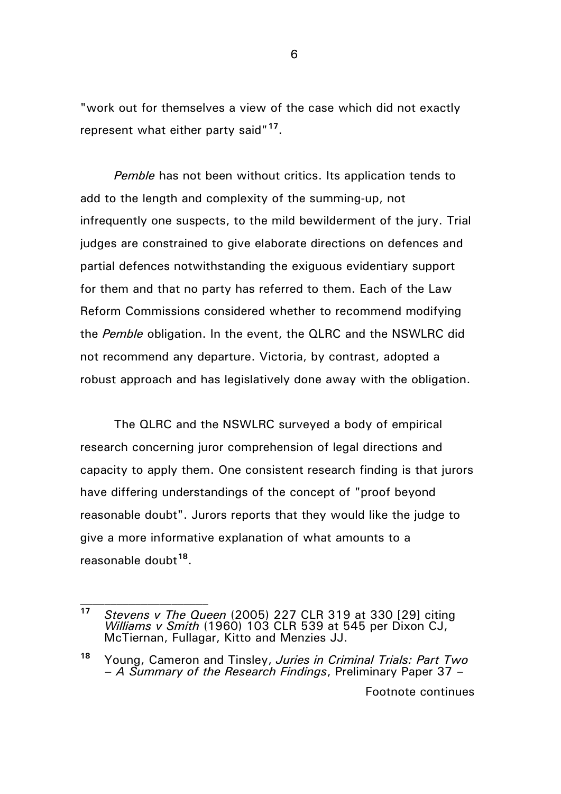"work out for themselves a view of the case which did not exactly represent what either party said"**[17](#page-5-0)**.

*Pemble* has not been without critics. Its application tends to add to the length and complexity of the summing-up, not infrequently one suspects, to the mild bewilderment of the jury. Trial judges are constrained to give elaborate directions on defences and partial defences notwithstanding the exiguous evidentiary support for them and that no party has referred to them. Each of the Law Reform Commissions considered whether to recommend modifying the *Pemble* obligation. In the event, the QLRC and the NSWLRC did not recommend any departure. Victoria, by contrast, adopted a robust approach and has legislatively done away with the obligation.

The QLRC and the NSWLRC surveyed a body of empirical research concerning juror comprehension of legal directions and capacity to apply them. One consistent research finding is that jurors have differing understandings of the concept of "proof beyond reasonable doubt". Jurors reports that they would like the judge to give a more informative explanation of what amounts to a reasonable doubt**[18](#page-5-1)**.

 $\mathcal{L}_\text{max}$ 

<span id="page-5-0"></span>**<sup>17</sup>** *Stevens v The Queen* (2005) 227 CLR 319 at 330 [29] citing *Williams v Smith* (1960) 103 CLR 539 at 545 per Dixon CJ, McTiernan, Fullagar, Kitto and Menzies JJ.

<span id="page-5-1"></span>**<sup>18</sup>** Young, Cameron and Tinsley, *Juries in Criminal Trials: Part Two – A Summary of the Research Findings*, Preliminary Paper 37 –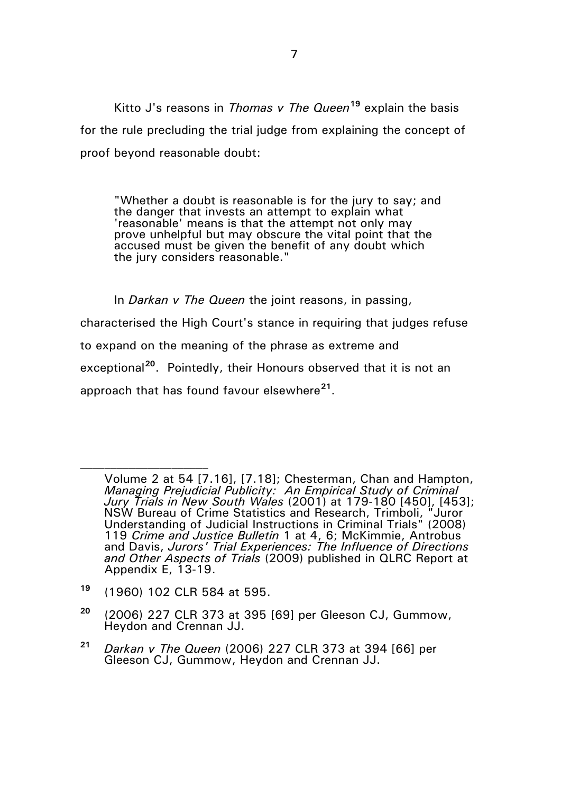Kitto J's reasons in *Thomas v The Queen***[19](#page-6-0)** explain the basis for the rule precluding the trial judge from explaining the concept of proof beyond reasonable doubt:

"Whether a doubt is reasonable is for the jury to say; and the danger that invests an attempt to explain what 'reasonable' means is that the attempt not only may prove unhelpful but may obscure the vital point that the accused must be given the benefit of any doubt which the jury considers reasonable."

In *Darkan v The Queen* the joint reasons, in passing, characterised the High Court's stance in requiring that judges refuse to expand on the meaning of the phrase as extreme and exceptional**[20](#page-6-1)**. Pointedly, their Honours observed that it is not an approach that has found favour elsewhere**[21](#page-6-2)**.

<span id="page-6-0"></span>**<sup>19</sup>** (1960) 102 CLR 584 at 595.

- <span id="page-6-1"></span>**<sup>20</sup>** (2006) 227 CLR 373 at 395 [69] per Gleeson CJ, Gummow, Heydon and Crennan JJ.
- <span id="page-6-2"></span>**<sup>21</sup>** *Darkan v The Queen* (2006) 227 CLR 373 at 394 [66] per Gleeson CJ, Gummow, Heydon and Crennan JJ.

Volume 2 at 54 [7.16], [7.18]; Chesterman, Chan and Hampton, *Managing Prejudicial Publicity: An Empirical Study of Criminal Jury Trials in New South Wales* (2001) at 179-180 [450], [453]; NSW Bureau of Crime Statistics and Research, Trimboli, "Juror Understanding of Judicial Instructions in Criminal Trials" (2008) 119 *Crime and Justice Bulletin* 1 at 4, 6; McKimmie, Antrobus and Davis, *Jurors' Trial Experiences: The Influence of Directions and Other Aspects of Trials* (2009) published in QLRC Report at Appendix E, 13-19.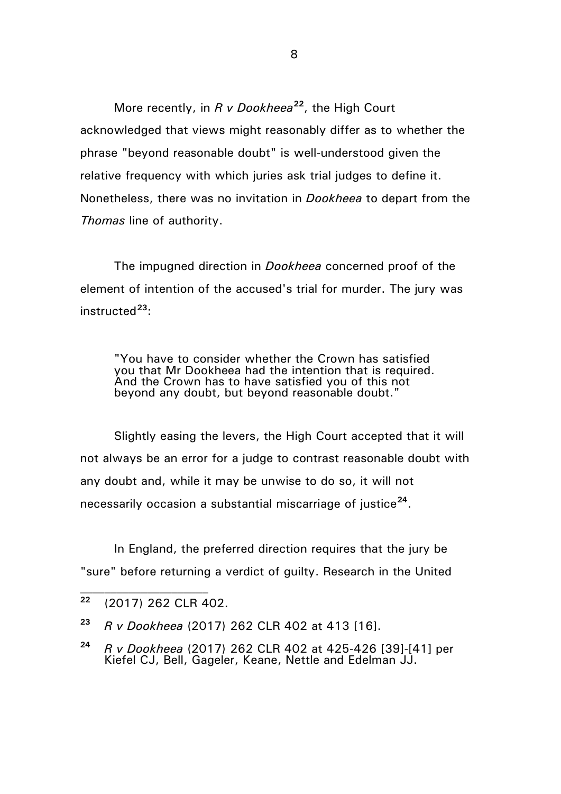More recently, in *R v Dookheea***[22](#page-7-0)**, the High Court acknowledged that views might reasonably differ as to whether the phrase "beyond reasonable doubt" is well-understood given the relative frequency with which juries ask trial judges to define it. Nonetheless, there was no invitation in *Dookheea* to depart from the *Thomas* line of authority.

The impugned direction in *Dookheea* concerned proof of the element of intention of the accused's trial for murder. The jury was instructed**[23](#page-7-1)**:

"You have to consider whether the Crown has satisfied you that Mr Dookheea had the intention that is required. And the Crown has to have satisfied you of this not beyond any doubt, but beyond reasonable doubt."

Slightly easing the levers, the High Court accepted that it will not always be an error for a judge to contrast reasonable doubt with any doubt and, while it may be unwise to do so, it will not necessarily occasion a substantial miscarriage of justice**[24](#page-7-2)**.

In England, the preferred direction requires that the jury be "sure" before returning a verdict of guilty. Research in the United

<span id="page-7-0"></span>**<sup>22</sup>** (2017) 262 CLR 402.

<span id="page-7-1"></span>**<sup>23</sup>** *R v Dookheea* (2017) 262 CLR 402 at 413 [16].

<span id="page-7-2"></span>**<sup>24</sup>** *R v Dookheea* (2017) 262 CLR 402 at 425-426 [39]-[41] per Kiefel CJ, Bell, Gageler, Keane, Nettle and Edelman JJ.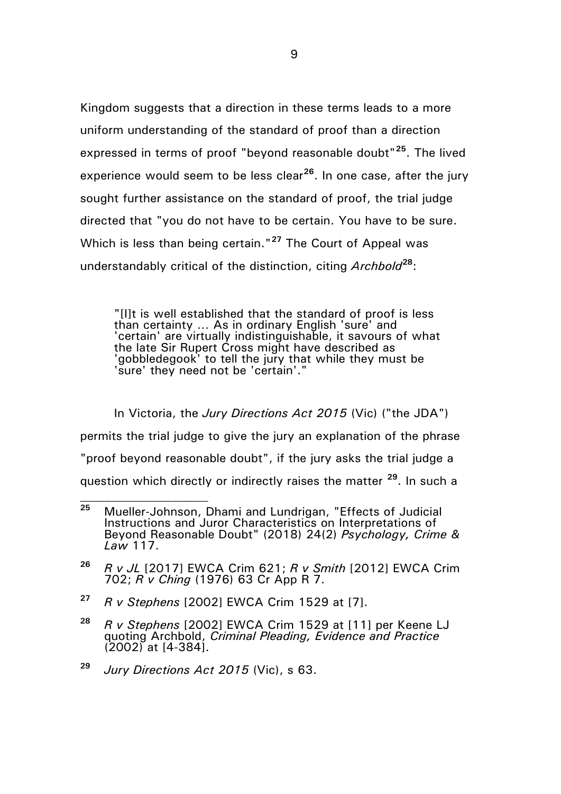Kingdom suggests that a direction in these terms leads to a more uniform understanding of the standard of proof than a direction expressed in terms of proof "beyond reasonable doubt"**[25](#page-8-0)**. The lived experience would seem to be less clear**[26](#page-8-1)**. In one case, after the jury sought further assistance on the standard of proof, the trial judge directed that "you do not have to be certain. You have to be sure. Which is less than being certain."**[27](#page-8-2)** The Court of Appeal was understandably critical of the distinction, citing *Archbold***[28](#page-8-3)**:

"[I]t is well established that the standard of proof is less than certainty … As in ordinary English 'sure' and 'certain' are virtually indistinguishable, it savours of what the late Sir Rupert Cross might have described as 'gobbledegook' to tell the jury that while they must be 'sure' they need not be 'certain'."

In Victoria, the *Jury Directions Act 2015* (Vic) ("the JDA") permits the trial judge to give the jury an explanation of the phrase "proof beyond reasonable doubt", if the jury asks the trial judge a question which directly or indirectly raises the matter **[29](#page-8-4)**. In such a  $\mathcal{L}_\text{max}$ 

- <span id="page-8-2"></span>**<sup>27</sup>** *R v Stephens* [2002] EWCA Crim 1529 at [7].
- <span id="page-8-3"></span>**<sup>28</sup>** *R v Stephens* [2002] EWCA Crim 1529 at [11] per Keene LJ quoting Archbold, *Criminal Pleading, Evidence and Practice* (2002) at [4-384].
- <span id="page-8-4"></span>**<sup>29</sup>** *Jury Directions Act 2015* (Vic), s 63.

<span id="page-8-0"></span>**<sup>25</sup>** Mueller-Johnson, Dhami and Lundrigan, "Effects of Judicial Instructions and Juror Characteristics on Interpretations of Beyond Reasonable Doubt" (2018) 24(2) *Psychology, Crime & Law* 117.

<span id="page-8-1"></span>**<sup>26</sup>** *R v JL* [2017] EWCA Crim 621; *R v Smith* [2012] EWCA Crim 702; *R v Ching* (1976) 63 Cr App R 7.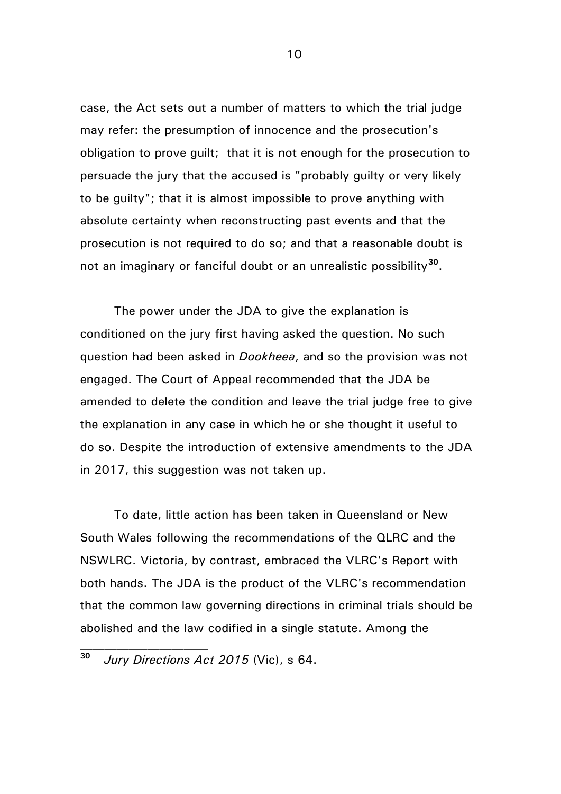case, the Act sets out a number of matters to which the trial judge may refer: the presumption of innocence and the prosecution's obligation to prove guilt; that it is not enough for the prosecution to persuade the jury that the accused is "probably guilty or very likely to be guilty"; that it is almost impossible to prove anything with absolute certainty when reconstructing past events and that the prosecution is not required to do so; and that a reasonable doubt is not an imaginary or fanciful doubt or an unrealistic possibility**[30](#page-9-0)**.

The power under the JDA to give the explanation is conditioned on the jury first having asked the question. No such question had been asked in *Dookheea*, and so the provision was not engaged. The Court of Appeal recommended that the JDA be amended to delete the condition and leave the trial judge free to give the explanation in any case in which he or she thought it useful to do so. Despite the introduction of extensive amendments to the JDA in 2017, this suggestion was not taken up.

To date, little action has been taken in Queensland or New South Wales following the recommendations of the QLRC and the NSWLRC. Victoria, by contrast, embraced the VLRC's Report with both hands. The JDA is the product of the VLRC's recommendation that the common law governing directions in criminal trials should be abolished and the law codified in a single statute. Among the

 $\mathcal{L}_\text{max}$ 

<span id="page-9-0"></span>**<sup>30</sup>** *Jury Directions Act 2015* (Vic), s 64.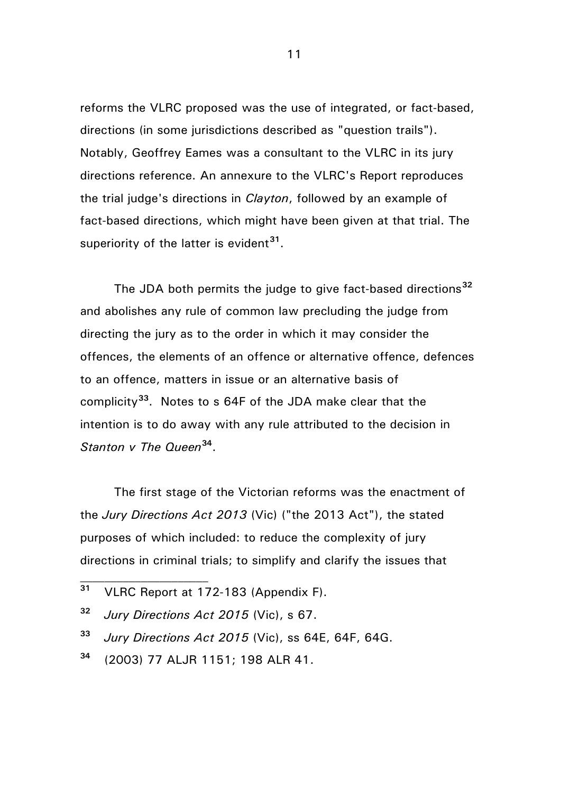reforms the VLRC proposed was the use of integrated, or fact-based, directions (in some jurisdictions described as "question trails"). Notably, Geoffrey Eames was a consultant to the VLRC in its jury directions reference. An annexure to the VLRC's Report reproduces the trial judge's directions in *Clayton*, followed by an example of fact-based directions, which might have been given at that trial. The superiority of the latter is evident**[31](#page-10-0)**.

The JDA both permits the judge to give fact-based directions**[32](#page-10-1)** and abolishes any rule of common law precluding the judge from directing the jury as to the order in which it may consider the offences, the elements of an offence or alternative offence, defences to an offence, matters in issue or an alternative basis of complicity**[33](#page-10-2)**. Notes to s 64F of the JDA make clear that the intention is to do away with any rule attributed to the decision in *Stanton v The Queen***[34](#page-10-3)**.

The first stage of the Victorian reforms was the enactment of the *Jury Directions Act 2013* (Vic) ("the 2013 Act"), the stated purposes of which included: to reduce the complexity of jury directions in criminal trials; to simplify and clarify the issues that

 $\mathcal{L}_\text{max}$ 

- <span id="page-10-2"></span>**<sup>33</sup>** *Jury Directions Act 2015* (Vic), ss 64E, 64F, 64G.
- <span id="page-10-3"></span>**<sup>34</sup>** (2003) 77 ALJR 1151; 198 ALR 41.

<span id="page-10-0"></span>**<sup>31</sup>** VLRC Report at 172-183 (Appendix F).

<span id="page-10-1"></span>**<sup>32</sup>** *Jury Directions Act 2015* (Vic), s 67.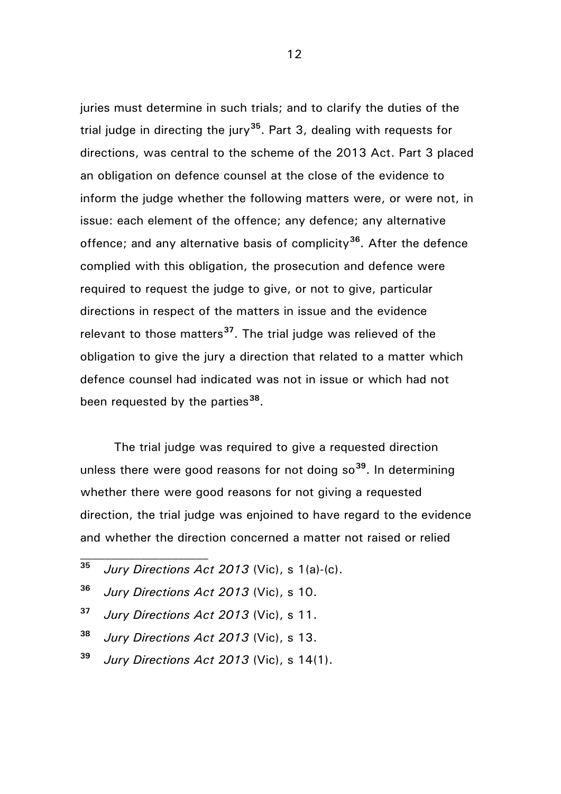juries must determine in such trials; and to clarify the duties of the trial judge in directing the jury**[35](#page-11-0)**. Part 3, dealing with requests for directions, was central to the scheme of the 2013 Act. Part 3 placed an obligation on defence counsel at the close of the evidence to inform the judge whether the following matters were, or were not, in issue: each element of the offence; any defence; any alternative offence; and any alternative basis of complicity**[36](#page-11-1)**. After the defence complied with this obligation, the prosecution and defence were required to request the judge to give, or not to give, particular directions in respect of the matters in issue and the evidence relevant to those matters**[37](#page-11-2)**. The trial judge was relieved of the obligation to give the jury a direction that related to a matter which defence counsel had indicated was not in issue or which had not been requested by the parties**[38](#page-11-3)**.

The trial judge was required to give a requested direction unless there were good reasons for not doing so**[39](#page-11-4)**. In determining whether there were good reasons for not giving a requested direction, the trial judge was enjoined to have regard to the evidence and whether the direction concerned a matter not raised or relied

- <span id="page-11-0"></span>**<sup>35</sup>** *Jury Directions Act 2013* (Vic), s 1(a)-(c).
- <span id="page-11-1"></span>**<sup>36</sup>** *Jury Directions Act 2013* (Vic), s 10.

 $\mathcal{L}_\text{max}$ 

- <span id="page-11-2"></span>**<sup>37</sup>** *Jury Directions Act 2013* (Vic), s 11.
- <span id="page-11-3"></span>**<sup>38</sup>** *Jury Directions Act 2013* (Vic), s 13.
- <span id="page-11-4"></span>**<sup>39</sup>** *Jury Directions Act 2013* (Vic), s 14(1).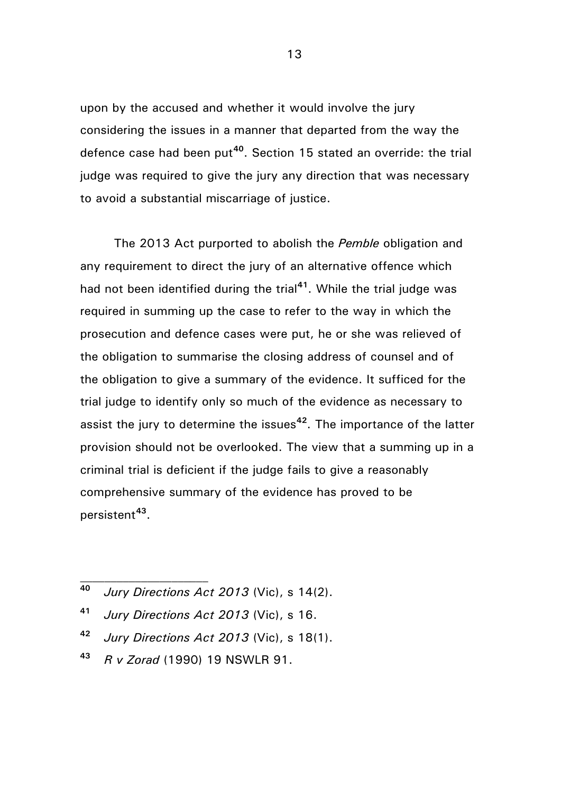upon by the accused and whether it would involve the jury considering the issues in a manner that departed from the way the defence case had been put**[40](#page-12-0)**. Section 15 stated an override: the trial judge was required to give the jury any direction that was necessary to avoid a substantial miscarriage of justice.

The 2013 Act purported to abolish the *Pemble* obligation and any requirement to direct the jury of an alternative offence which had not been identified during the trial**[41](#page-12-1)**. While the trial judge was required in summing up the case to refer to the way in which the prosecution and defence cases were put, he or she was relieved of the obligation to summarise the closing address of counsel and of the obligation to give a summary of the evidence. It sufficed for the trial judge to identify only so much of the evidence as necessary to assist the jury to determine the issues**[42](#page-12-2)**. The importance of the latter provision should not be overlooked. The view that a summing up in a criminal trial is deficient if the judge fails to give a reasonably comprehensive summary of the evidence has proved to be persistent**[43](#page-12-3)**.

- <span id="page-12-0"></span>**<sup>40</sup>** *Jury Directions Act 2013* (Vic), s 14(2).
- <span id="page-12-1"></span>**<sup>41</sup>** *Jury Directions Act 2013* (Vic), s 16.
- <span id="page-12-2"></span>**<sup>42</sup>** *Jury Directions Act 2013* (Vic), s 18(1).
- <span id="page-12-3"></span>**<sup>43</sup>** *R v Zorad* (1990) 19 NSWLR 91.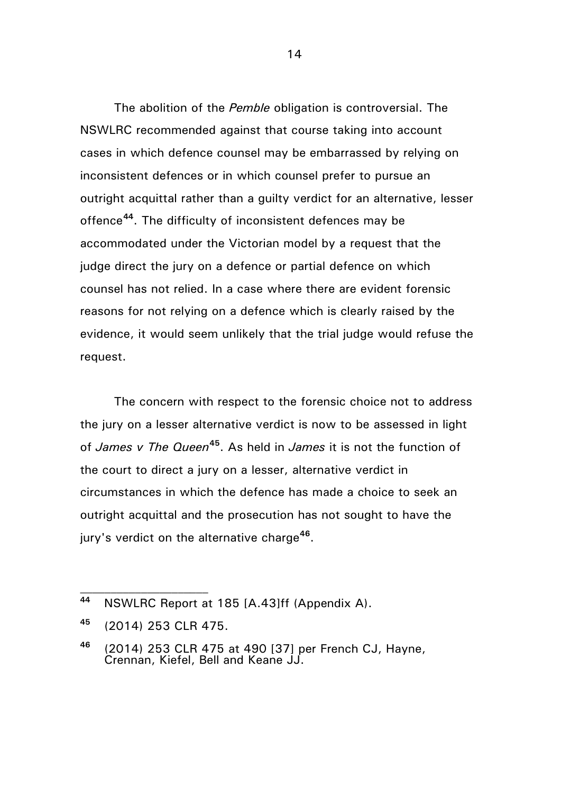The abolition of the *Pemble* obligation is controversial. The NSWLRC recommended against that course taking into account cases in which defence counsel may be embarrassed by relying on inconsistent defences or in which counsel prefer to pursue an outright acquittal rather than a guilty verdict for an alternative, lesser offence**[44](#page-13-0)**. The difficulty of inconsistent defences may be accommodated under the Victorian model by a request that the judge direct the jury on a defence or partial defence on which counsel has not relied. In a case where there are evident forensic reasons for not relying on a defence which is clearly raised by the evidence, it would seem unlikely that the trial judge would refuse the request.

The concern with respect to the forensic choice not to address the jury on a lesser alternative verdict is now to be assessed in light of *James v The Queen***[45](#page-13-1)**. As held in *James* it is not the function of the court to direct a jury on a lesser, alternative verdict in circumstances in which the defence has made a choice to seek an outright acquittal and the prosecution has not sought to have the jury's verdict on the alternative charge**[46](#page-13-2)**.

<span id="page-13-0"></span>**<sup>44</sup>** NSWLRC Report at 185 [A.43]ff (Appendix A).

<span id="page-13-1"></span>**<sup>45</sup>** (2014) 253 CLR 475.

<span id="page-13-2"></span>**<sup>46</sup>** (2014) 253 CLR 475 at 490 [37] per French CJ, Hayne, Crennan, Kiefel, Bell and Keane JJ.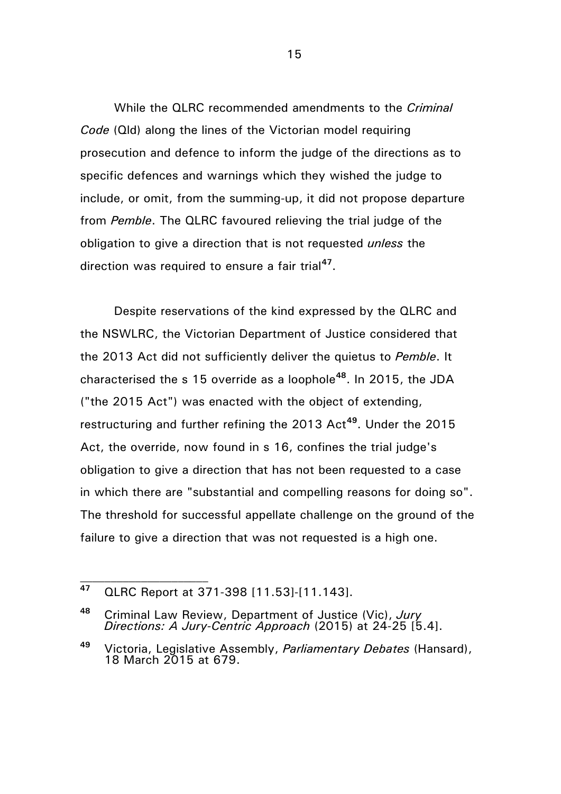While the QLRC recommended amendments to the *Criminal Code* (Qld) along the lines of the Victorian model requiring prosecution and defence to inform the judge of the directions as to specific defences and warnings which they wished the judge to include, or omit, from the summing-up, it did not propose departure from *Pemble*. The QLRC favoured relieving the trial judge of the obligation to give a direction that is not requested *unless* the direction was required to ensure a fair trial**[47](#page-14-0)**.

Despite reservations of the kind expressed by the QLRC and the NSWLRC, the Victorian Department of Justice considered that the 2013 Act did not sufficiently deliver the quietus to *Pemble*. It characterised the s 15 override as a loophole**[48](#page-14-1)**. In 2015, the JDA ("the 2015 Act") was enacted with the object of extending, restructuring and further refining the 2013 Act**[49](#page-14-2)**. Under the 2015 Act, the override, now found in s 16, confines the trial judge's obligation to give a direction that has not been requested to a case in which there are "substantial and compelling reasons for doing so". The threshold for successful appellate challenge on the ground of the failure to give a direction that was not requested is a high one.

<span id="page-14-0"></span>**<sup>47</sup>** QLRC Report at 371-398 [11.53]-[11.143].

<span id="page-14-1"></span>**<sup>48</sup>** Criminal Law Review, Department of Justice (Vic), *Jury Directions: A Jury-Centric Approach* (2015) at 24-25 [5.4].

<span id="page-14-2"></span>**<sup>49</sup>** Victoria, Legislative Assembly, *Parliamentary Debates* (Hansard), 18 March 2015 at 679.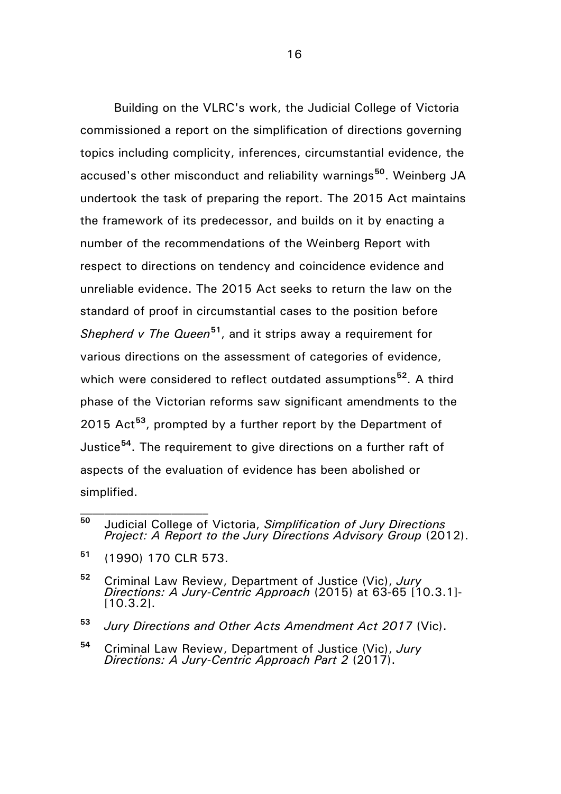Building on the VLRC's work, the Judicial College of Victoria commissioned a report on the simplification of directions governing topics including complicity, inferences, circumstantial evidence, the accused's other misconduct and reliability warnings**[50](#page-15-0)**. Weinberg JA undertook the task of preparing the report. The 2015 Act maintains the framework of its predecessor, and builds on it by enacting a number of the recommendations of the Weinberg Report with respect to directions on tendency and coincidence evidence and unreliable evidence. The 2015 Act seeks to return the law on the standard of proof in circumstantial cases to the position before *Shepherd v The Queen***[51](#page-15-1)**, and it strips away a requirement for various directions on the assessment of categories of evidence, which were considered to reflect outdated assumptions**[52](#page-15-2)**. A third phase of the Victorian reforms saw significant amendments to the 2015 Act**[53](#page-15-3)**, prompted by a further report by the Department of Justice**[54](#page-15-4)**. The requirement to give directions on a further raft of aspects of the evaluation of evidence has been abolished or simplified.

- <span id="page-15-3"></span>**<sup>53</sup>** *Jury Directions and Other Acts Amendment Act 2017* (Vic).
- <span id="page-15-4"></span>**<sup>54</sup>** Criminal Law Review, Department of Justice (Vic), *Jury Directions: A Jury-Centric Approach Part 2* (2017).

<span id="page-15-0"></span>**<sup>50</sup>** Judicial College of Victoria, *Simplification of Jury Directions Project: A Report to the Jury Directions Advisory Group* (2012).

<span id="page-15-1"></span>**<sup>51</sup>** (1990) 170 CLR 573.

<span id="page-15-2"></span>**<sup>52</sup>** Criminal Law Review, Department of Justice (Vic), *Jury Directions: A Jury-Centric Approach* (2015) at 63-65 [10.3.1]- [10.3.2].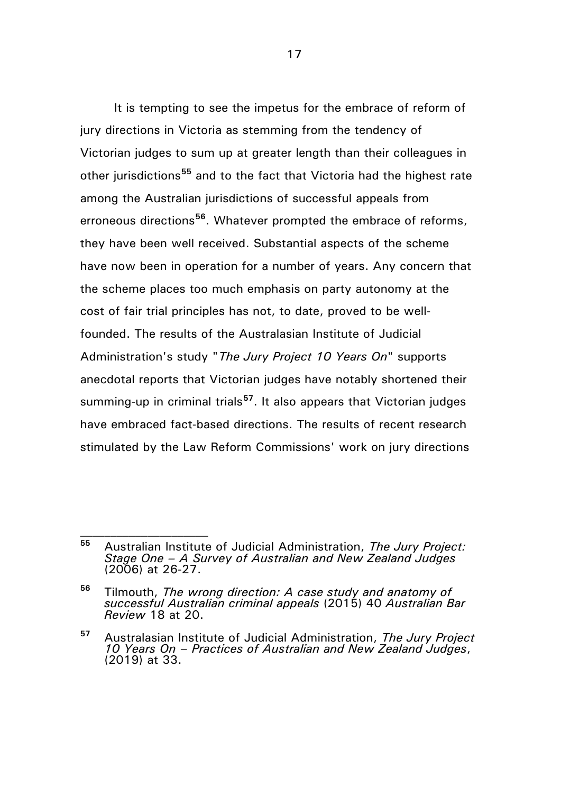It is tempting to see the impetus for the embrace of reform of jury directions in Victoria as stemming from the tendency of Victorian judges to sum up at greater length than their colleagues in other jurisdictions**[55](#page-16-0)** and to the fact that Victoria had the highest rate among the Australian jurisdictions of successful appeals from erroneous directions**[56](#page-16-1)**. Whatever prompted the embrace of reforms, they have been well received. Substantial aspects of the scheme have now been in operation for a number of years. Any concern that the scheme places too much emphasis on party autonomy at the cost of fair trial principles has not, to date, proved to be wellfounded. The results of the Australasian Institute of Judicial Administration's study "*The Jury Project 10 Years On*" supports anecdotal reports that Victorian judges have notably shortened their summing-up in criminal trials**[57](#page-16-2)**. It also appears that Victorian judges have embraced fact-based directions. The results of recent research stimulated by the Law Reform Commissions' work on jury directions

<span id="page-16-0"></span>**<sup>55</sup>** Australian Institute of Judicial Administration, *The Jury Project: Stage One – A Survey of Australian and New Zealand Judges* (2006) at 26-27.

<span id="page-16-1"></span>**<sup>56</sup>** Tilmouth, *The wrong direction: A case study and anatomy of successful Australian criminal appeals* (2015) 40 *Australian Bar Review* 18 at 20.

<span id="page-16-2"></span>**<sup>57</sup>** Australasian Institute of Judicial Administration, *The Jury Project 10 Years On – Practices of Australian and New Zealand Judges*, (2019) at 33.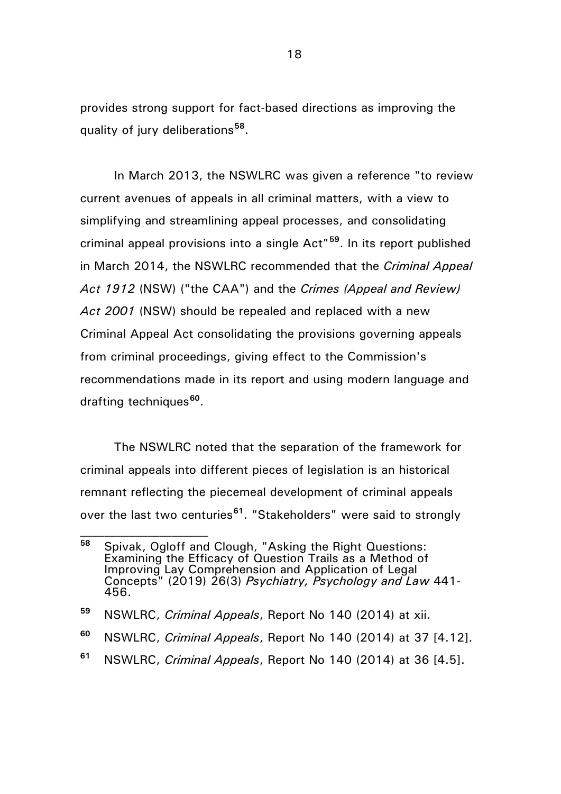provides strong support for fact-based directions as improving the quality of jury deliberations**[58](#page-17-0)**.

In March 2013, the NSWLRC was given a reference "to review current avenues of appeals in all criminal matters, with a view to simplifying and streamlining appeal processes, and consolidating criminal appeal provisions into a single Act"**[59](#page-17-1)**. In its report published in March 2014, the NSWLRC recommended that the *Criminal Appeal Act 1912* (NSW) ("the CAA") and the *Crimes (Appeal and Review) Act 2001* (NSW) should be repealed and replaced with a new Criminal Appeal Act consolidating the provisions governing appeals from criminal proceedings, giving effect to the Commission's recommendations made in its report and using modern language and drafting techniques**[60](#page-17-2)**.

The NSWLRC noted that the separation of the framework for criminal appeals into different pieces of legislation is an historical remnant reflecting the piecemeal development of criminal appeals over the last two centuries**[61](#page-17-3)**. "Stakeholders" were said to strongly

<span id="page-17-0"></span>**<sup>58</sup>** Spivak, Ogloff and Clough, "Asking the Right Questions: Examining the Efficacy of Question Trails as a Method of Improving Lay Comprehension and Application of Legal Concepts" (2019) 26(3) *Psychiatry, Psychology and Law* 441- 456.

<span id="page-17-1"></span>**<sup>59</sup>** NSWLRC, *Criminal Appeals*, Report No 140 (2014) at xii.

<span id="page-17-2"></span>**<sup>60</sup>** NSWLRC, *Criminal Appeals*, Report No 140 (2014) at 37 [4.12].

<span id="page-17-3"></span>**<sup>61</sup>** NSWLRC, *Criminal Appeals*, Report No 140 (2014) at 36 [4.5].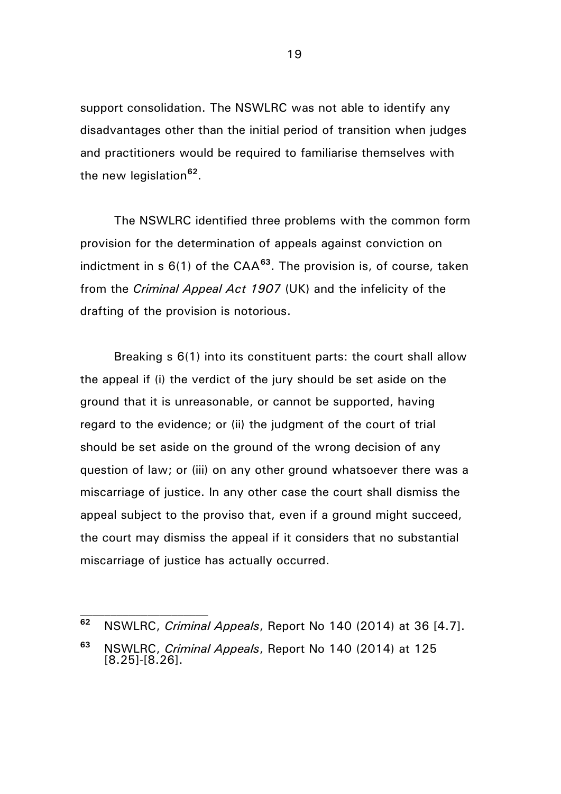support consolidation. The NSWLRC was not able to identify any disadvantages other than the initial period of transition when judges and practitioners would be required to familiarise themselves with the new legislation**[62](#page-18-0)**.

The NSWLRC identified three problems with the common form provision for the determination of appeals against conviction on indictment in s 6(1) of the CAA**[63](#page-18-1)**. The provision is, of course, taken from the *Criminal Appeal Act 1907* (UK) and the infelicity of the drafting of the provision is notorious.

Breaking s 6(1) into its constituent parts: the court shall allow the appeal if (i) the verdict of the jury should be set aside on the ground that it is unreasonable, or cannot be supported, having regard to the evidence; or (ii) the judgment of the court of trial should be set aside on the ground of the wrong decision of any question of law; or (iii) on any other ground whatsoever there was a miscarriage of justice. In any other case the court shall dismiss the appeal subject to the proviso that, even if a ground might succeed, the court may dismiss the appeal if it considers that no substantial miscarriage of justice has actually occurred.

<span id="page-18-0"></span>**<sup>62</sup>** NSWLRC, *Criminal Appeals*, Report No 140 (2014) at 36 [4.7].

<span id="page-18-1"></span>**<sup>63</sup>** NSWLRC, *Criminal Appeals*, Report No 140 (2014) at 125 [8.25]-[8.26].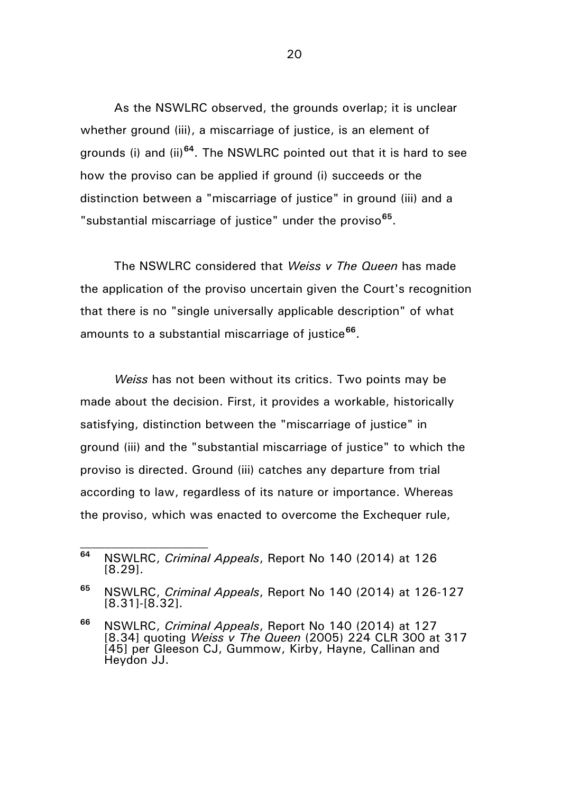As the NSWLRC observed, the grounds overlap; it is unclear whether ground (iii), a miscarriage of justice, is an element of grounds (i) and (ii)**[64](#page-19-0)**. The NSWLRC pointed out that it is hard to see how the proviso can be applied if ground (i) succeeds or the distinction between a "miscarriage of justice" in ground (iii) and a "substantial miscarriage of justice" under the proviso**[65](#page-19-1)**.

The NSWLRC considered that *Weiss v The Queen* has made the application of the proviso uncertain given the Court's recognition that there is no "single universally applicable description" of what amounts to a substantial miscarriage of justice**[66](#page-19-2)**.

*Weiss* has not been without its critics. Two points may be made about the decision. First, it provides a workable, historically satisfying, distinction between the "miscarriage of justice" in ground (iii) and the "substantial miscarriage of justice" to which the proviso is directed. Ground (iii) catches any departure from trial according to law, regardless of its nature or importance. Whereas the proviso, which was enacted to overcome the Exchequer rule,

<span id="page-19-0"></span>**<sup>64</sup>** NSWLRC, *Criminal Appeals*, Report No 140 (2014) at 126 [8.29].

<span id="page-19-1"></span>**<sup>65</sup>** NSWLRC, *Criminal Appeals*, Report No 140 (2014) at 126-127 [8.31]-[8.32].

<span id="page-19-2"></span>**<sup>66</sup>** NSWLRC, *Criminal Appeals*, Report No 140 (2014) at 127 [8.34] quoting *Weiss v The Queen* (2005) 224 CLR 300 at 317 [45] per Gleeson CJ, Gummow, Kirby, Hayne, Callinan and Heydon JJ.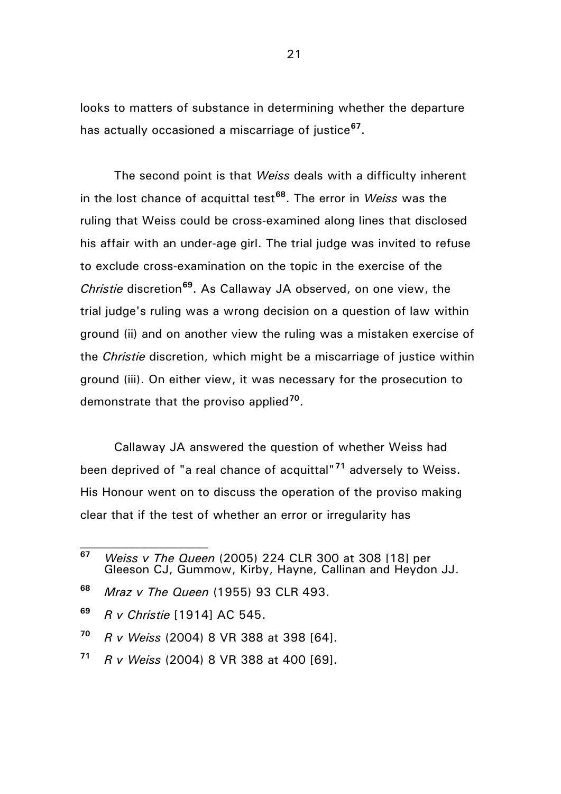looks to matters of substance in determining whether the departure has actually occasioned a miscarriage of justice**[67](#page-20-0)**.

The second point is that *Weiss* deals with a difficulty inherent in the lost chance of acquittal test**[68](#page-20-1)**. The error in *Weiss* was the ruling that Weiss could be cross-examined along lines that disclosed his affair with an under-age girl. The trial judge was invited to refuse to exclude cross-examination on the topic in the exercise of the *Christie* discretion**[69](#page-20-2)**. As Callaway JA observed, on one view, the trial judge's ruling was a wrong decision on a question of law within ground (ii) and on another view the ruling was a mistaken exercise of the *Christie* discretion, which might be a miscarriage of justice within ground (iii). On either view, it was necessary for the prosecution to demonstrate that the proviso applied**[70](#page-20-3)**.

Callaway JA answered the question of whether Weiss had been deprived of "a real chance of acquittal"**[71](#page-20-4)** adversely to Weiss. His Honour went on to discuss the operation of the proviso making clear that if the test of whether an error or irregularity has

- <span id="page-20-3"></span>**<sup>70</sup>** *R v Weiss* (2004) 8 VR 388 at 398 [64].
- <span id="page-20-4"></span>**<sup>71</sup>** *R v Weiss* (2004) 8 VR 388 at 400 [69].

<span id="page-20-0"></span>**<sup>67</sup>** *Weiss v The Queen* (2005) 224 CLR 300 at 308 [18] per Gleeson CJ, Gummow, Kirby, Hayne, Callinan and Heydon JJ.

<span id="page-20-1"></span>**<sup>68</sup>** *Mraz v The Queen* (1955) 93 CLR 493.

<span id="page-20-2"></span>**<sup>69</sup>** *R v Christie* [1914] AC 545.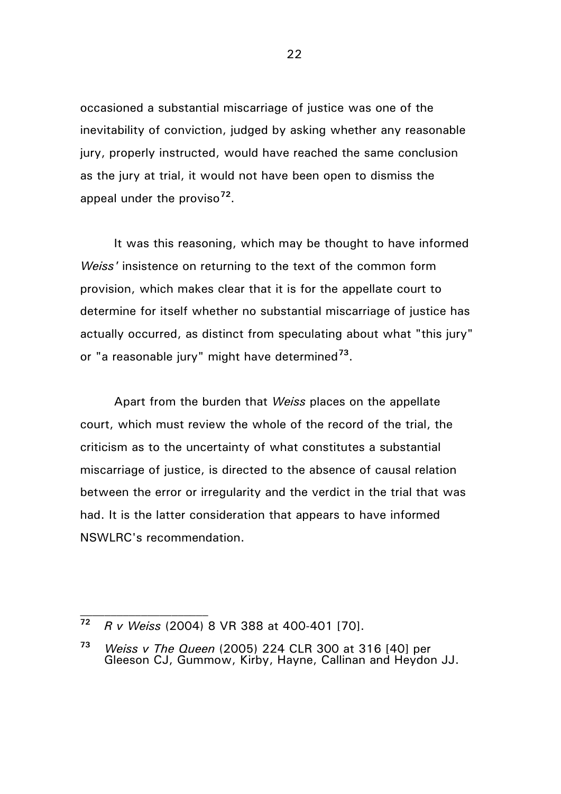occasioned a substantial miscarriage of justice was one of the inevitability of conviction, judged by asking whether any reasonable jury, properly instructed, would have reached the same conclusion as the jury at trial, it would not have been open to dismiss the appeal under the proviso**[72](#page-21-0)**.

It was this reasoning, which may be thought to have informed *Weiss'* insistence on returning to the text of the common form provision, which makes clear that it is for the appellate court to determine for itself whether no substantial miscarriage of justice has actually occurred, as distinct from speculating about what "this jury" or "a reasonable jury" might have determined**[73](#page-21-1)**.

Apart from the burden that *Weiss* places on the appellate court, which must review the whole of the record of the trial, the criticism as to the uncertainty of what constitutes a substantial miscarriage of justice, is directed to the absence of causal relation between the error or irregularity and the verdict in the trial that was had. It is the latter consideration that appears to have informed NSWLRC's recommendation.

<span id="page-21-0"></span>**<sup>72</sup>** *R v Weiss* (2004) 8 VR 388 at 400-401 [70].

<span id="page-21-1"></span>**<sup>73</sup>** *Weiss v The Queen* (2005) 224 CLR 300 at 316 [40] per Gleeson CJ, Gummow, Kirby, Hayne, Callinan and Heydon JJ.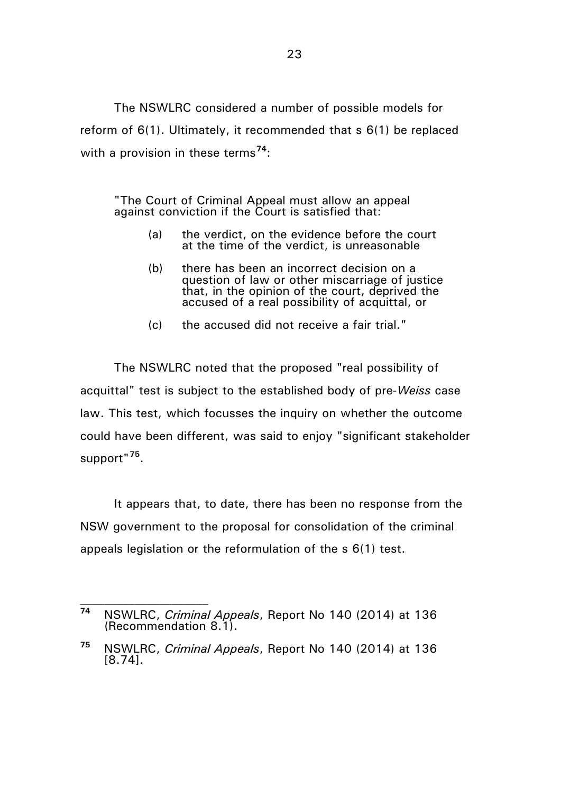The NSWLRC considered a number of possible models for reform of 6(1). Ultimately, it recommended that s 6(1) be replaced with a provision in these terms**[74](#page-22-0)**:

"The Court of Criminal Appeal must allow an appeal against conviction if the Court is satisfied that:

- (a) the verdict, on the evidence before the court at the time of the verdict, is unreasonable
- (b) there has been an incorrect decision on a question of law or other miscarriage of justice that, in the opinion of the court, deprived the accused of a real possibility of acquittal, or
- (c) the accused did not receive a fair trial."

The NSWLRC noted that the proposed "real possibility of acquittal" test is subject to the established body of pre-*Weiss* case law. This test, which focusses the inquiry on whether the outcome could have been different, was said to enjoy "significant stakeholder support"**[75](#page-22-1)**.

It appears that, to date, there has been no response from the NSW government to the proposal for consolidation of the criminal appeals legislation or the reformulation of the s 6(1) test.

<span id="page-22-0"></span>**<sup>74</sup>** NSWLRC, *Criminal Appeals*, Report No 140 (2014) at 136 (Recommendation 8.1).

<span id="page-22-1"></span>**<sup>75</sup>** NSWLRC, *Criminal Appeals*, Report No 140 (2014) at 136 [8.74].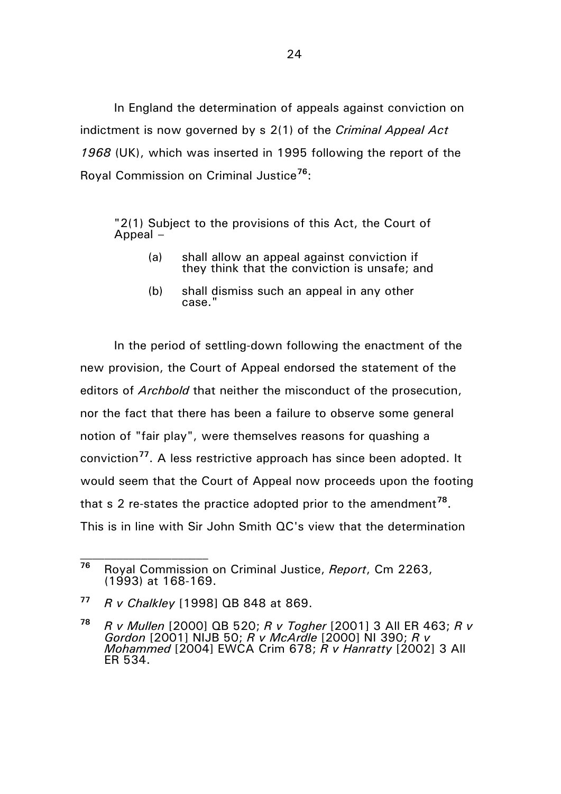In England the determination of appeals against conviction on indictment is now governed by s 2(1) of the *Criminal Appeal Act 1968* (UK), which was inserted in 1995 following the report of the Royal Commission on Criminal Justice**[76](#page-23-0)**:

"2(1) Subject to the provisions of this Act, the Court of Appeal –

- (a) shall allow an appeal against conviction if they think that the conviction is unsafe; and
- (b) shall dismiss such an appeal in any other case."

In the period of settling-down following the enactment of the new provision, the Court of Appeal endorsed the statement of the editors of *Archbold* that neither the misconduct of the prosecution, nor the fact that there has been a failure to observe some general notion of "fair play", were themselves reasons for quashing a conviction**[77](#page-23-1)**. A less restrictive approach has since been adopted. It would seem that the Court of Appeal now proceeds upon the footing that s 2 re-states the practice adopted prior to the amendment**[78](#page-23-2)**. This is in line with Sir John Smith QC's view that the determination

<span id="page-23-0"></span>**<sup>76</sup>** Royal Commission on Criminal Justice, *Report*, Cm 2263, (1993) at 168-169.

<span id="page-23-1"></span>**<sup>77</sup>** *R v Chalkley* [1998] QB 848 at 869.

<span id="page-23-2"></span>**<sup>78</sup>** *R v Mullen* [2000] QB 520; *R v Togher* [2001] 3 All ER 463; *R v Gordon* [2001] NIJB 50; *R v McArdle* [2000] NI 390; *R v Mohammed* [2004] EWCA Crim 678; *R v Hanratty* [2002] 3 All ER 534.